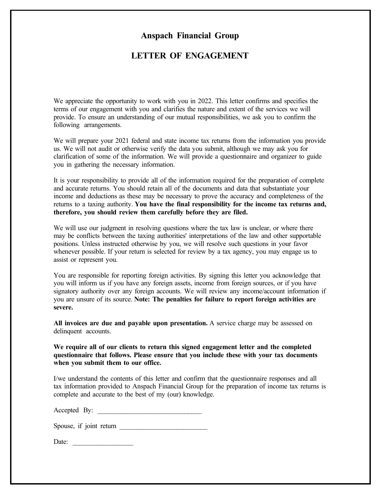## Anspach Financial Group

### LETTER OF ENGAGEMENT

We appreciate the opportunity to work with you in 2022. This letter confirms and specifies the terms of our engagement with you and clarifies the nature and extent of the services we will provide. To ensure an understanding of our mutual responsibilities, we ask you to confirm the following arrangements.

We will prepare your 2021 federal and state income tax returns from the information you provide us. We will not audit or otherwise verify the data you submit, although we may ask you for clarification of some of the information. We will provide a questionnaire and organizer to guide you in gathering the necessary information.

It is your responsibility to provide all of the information required for the preparation of complete and accurate returns. You should retain all of the documents and data that substantiate your income and deductions as these may be necessary to prove the accuracy and completeness of the returns to a taxing authority. You have the final responsibility for the income tax returns and, therefore, you should review them carefully before they are filed.

We will use our judgment in resolving questions where the tax law is unclear, or where there may be conflicts between the taxing authorities' interpretations of the law and other supportable positions. Unless instructed otherwise by you, we will resolve such questions in your favor whenever possible. If your return is selected for review by a tax agency, you may engage us to assist or represent you.

You are responsible for reporting foreign activities. By signing this letter you acknowledge that you will inform us if you have any foreign assets, income from foreign sources, or if you have signatory authority over any foreign accounts. We will review any income/account information if you are unsure of its source. Note: The penalties for failure to report foreign activities are severe.

All invoices are due and payable upon presentation. A service charge may be assessed on delinquent accounts.

### We require all of our clients to return this signed engagement letter and the completed questionnaire that follows. Please ensure that you include these with your tax documents when you submit them to our office.

I/we understand the contents of this letter and confirm that the questionnaire responses and all tax information provided to Anspach Financial Group for the preparation of income tax returns is complete and accurate to the best of my (our) knowledge.

Accepted By: \_\_\_\_\_\_\_\_\_\_\_\_\_\_\_\_\_\_\_\_\_\_\_\_\_\_\_\_\_\_\_

Spouse, if joint return \_\_\_\_\_\_\_\_\_\_\_\_\_\_\_\_\_\_\_\_\_\_\_\_\_\_

Date: \_\_\_\_\_\_\_\_\_\_\_\_\_\_\_\_\_\_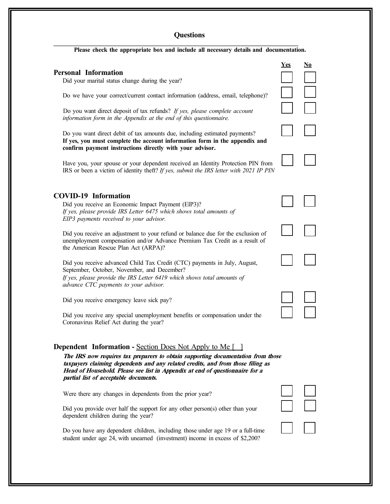# **Questions**

| Please check the appropriate box and include all necessary details and documentation. |  |  |  |  |
|---------------------------------------------------------------------------------------|--|--|--|--|
|                                                                                       |  |  |  |  |

| <b>Personal Information</b><br>Did your marital status change during the year?<br>Do we have your correct/current contact information (address, email, telephone)?<br>Do you want direct deposit of tax refunds? If yes, please complete account<br>information form in the Appendix at the end of this questionnaire.<br>Do you want direct debit of tax amounts due, including estimated payments?<br>If yes, you must complete the account information form in the appendix and<br>confirm payment instructions directly with your advisor.<br>Have you, your spouse or your dependent received an Identity Protection PIN from<br>IRS or been a victim of identity theft? If yes, submit the IRS letter with 2021 IP PIN | <b>Yes</b> | No |
|------------------------------------------------------------------------------------------------------------------------------------------------------------------------------------------------------------------------------------------------------------------------------------------------------------------------------------------------------------------------------------------------------------------------------------------------------------------------------------------------------------------------------------------------------------------------------------------------------------------------------------------------------------------------------------------------------------------------------|------------|----|
| <b>COVID-19 Information</b><br>Did you receive an Economic Impact Payment (EIP3)?<br>If yes, please provide IRS Letter 6475 which shows total amounts of                                                                                                                                                                                                                                                                                                                                                                                                                                                                                                                                                                     |            |    |
| EIP3 payments received to your advisor.<br>Did you receive an adjustment to your refund or balance due for the exclusion of<br>unemployment compensation and/or Advance Premium Tax Credit as a result of<br>the American Rescue Plan Act (ARPA)?<br>Did you receive advanced Child Tax Credit (CTC) payments in July, August,<br>September, October, November, and December?<br>If yes, please provide the IRS Letter 6419 which shows total amounts of                                                                                                                                                                                                                                                                     |            |    |
| advance CTC payments to your advisor.<br>Did you receive emergency leave sick pay?<br>Did you receive any special unemployment benefits or compensation under the<br>Coronavirus Relief Act during the year?                                                                                                                                                                                                                                                                                                                                                                                                                                                                                                                 |            |    |
| <b>Dependent Information - Section Does Not Apply to Me [</b><br>The IRS now requires tax preparers to obtain supporting documentation from those<br>taxpayers claiming dependents and any related credits, and from those filing as<br>Head of Household. Please see list in Appendix at end of questionnaire for a<br>partial list of acceptable documents.<br>Were there any changes in dependents from the prior year?<br>Did you provide over half the support for any other person(s) other than your<br>dependent children during the year?<br>Do you have any dependent children, including those under age 19 or a full-time<br>student under age 24, with unearned (investment) income in excess of \$2,200?       |            |    |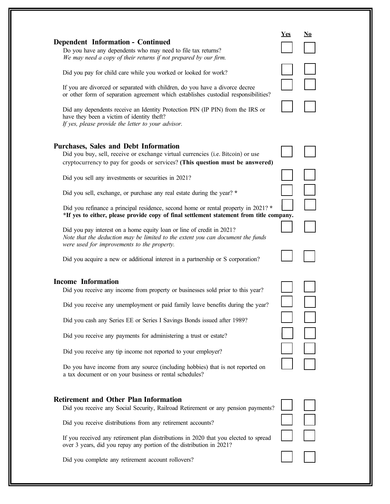| <b>Dependent Information - Continued</b><br>Do you have any dependents who may need to file tax returns?<br>We may need a copy of their returns if not prepared by our firm.                                                                                                                                                                                                                                                                                                                                                                                                                                                                                                                                                                                                                                                      | <b>Yes</b> | No |
|-----------------------------------------------------------------------------------------------------------------------------------------------------------------------------------------------------------------------------------------------------------------------------------------------------------------------------------------------------------------------------------------------------------------------------------------------------------------------------------------------------------------------------------------------------------------------------------------------------------------------------------------------------------------------------------------------------------------------------------------------------------------------------------------------------------------------------------|------------|----|
| Did you pay for child care while you worked or looked for work?<br>If you are divorced or separated with children, do you have a divorce decree<br>or other form of separation agreement which establishes custodial responsibilities?<br>Did any dependents receive an Identity Protection PIN (IP PIN) from the IRS or<br>have they been a victim of identity theft?<br>If yes, please provide the letter to your advisor.                                                                                                                                                                                                                                                                                                                                                                                                      |            |    |
| <b>Purchases, Sales and Debt Information</b><br>Did you buy, sell, receive or exchange virtual currencies (i.e. Bitcoin) or use<br>cryptocurrency to pay for goods or services? (This question must be answered)<br>Did you sell any investments or securities in 2021?<br>Did you sell, exchange, or purchase any real estate during the year? *<br>Did you refinance a principal residence, second home or rental property in 2021? *<br>*If yes to either, please provide copy of final settlement statement from title company.<br>Did you pay interest on a home equity loan or line of credit in 2021?<br>Note that the deduction may be limited to the extent you can document the funds<br>were used for improvements to the property.<br>Did you acquire a new or additional interest in a partnership or S corporation? |            |    |
| <b>Income Information</b><br>Did you receive any income from property or businesses sold prior to this year?<br>Did you receive any unemployment or paid family leave benefits during the year?<br>Did you cash any Series EE or Series I Savings Bonds issued after 1989?<br>Did you receive any payments for administering a trust or estate?<br>Did you receive any tip income not reported to your employer?<br>Do you have income from any source (including hobbies) that is not reported on<br>a tax document or on your business or rental schedules?                                                                                                                                                                                                                                                                     |            |    |
| <b>Retirement and Other Plan Information</b><br>Did you receive any Social Security, Railroad Retirement or any pension payments?<br>Did you receive distributions from any retirement accounts?<br>If you received any retirement plan distributions in 2020 that you elected to spread<br>over 3 years, did you repay any portion of the distribution in 2021?<br>Did you complete any retirement account rollovers?                                                                                                                                                                                                                                                                                                                                                                                                            |            |    |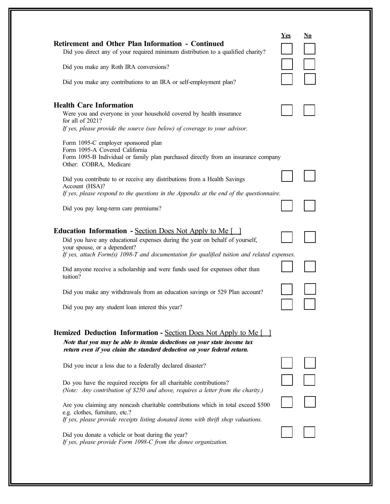| <b>Retirement and Other Plan Information - Continued</b><br>Did you direct any of your required minimum distribution to a qualified charity?                                                                                                                                                                                                                                                                                                                                                                | Yes | No |
|-------------------------------------------------------------------------------------------------------------------------------------------------------------------------------------------------------------------------------------------------------------------------------------------------------------------------------------------------------------------------------------------------------------------------------------------------------------------------------------------------------------|-----|----|
| Did you make any Roth IRA conversions?                                                                                                                                                                                                                                                                                                                                                                                                                                                                      |     |    |
| Did you make any contributions to an IRA or self-employment plan?                                                                                                                                                                                                                                                                                                                                                                                                                                           |     |    |
| <b>Health Care Information</b><br>Were you and everyone in your household covered by health insurance<br>for all of 2021?<br>If yes, please provide the source (see below) of coverage to your advisor.                                                                                                                                                                                                                                                                                                     |     |    |
| Form 1095-C employer sponsored plan<br>Form 1095-A Covered California<br>Form 1095-B Individual or family plan purchased directly from an insurance company<br>Other: COBRA, Medicare                                                                                                                                                                                                                                                                                                                       |     |    |
| Did you contribute to or receive any distributions from a Health Savings<br>Account (HSA)?                                                                                                                                                                                                                                                                                                                                                                                                                  |     |    |
| If yes, please respond to the questions in the Appendix at the end of the questionnaire.                                                                                                                                                                                                                                                                                                                                                                                                                    |     |    |
| Did you pay long-term care premiums?                                                                                                                                                                                                                                                                                                                                                                                                                                                                        |     |    |
| <b>Education Information - Section Does Not Apply to Me</b> [<br>Did you have any educational expenses during the year on behalf of yourself,<br>your spouse, or a dependent?<br>If yes, attach Form(s) 1098-T and documentation for qualified tuition and related expenses.<br>Did anyone receive a scholarship and were funds used for expenses other than<br>tuition?<br>Did you make any withdrawals from an education savings or 529 Plan account?<br>Did you pay any student loan interest this year? |     |    |
| <b>Itemized Deduction Information - Section Does Not Apply to Me</b> [129]<br>Note that you may be able to itemize deductions on your state income tax<br>return even if you claim the standard deduction on your federal return.                                                                                                                                                                                                                                                                           |     |    |
| Did you incur a loss due to a federally declared disaster?                                                                                                                                                                                                                                                                                                                                                                                                                                                  |     |    |
| Do you have the required receipts for all charitable contributions?<br>(Note: Any contribution of \$250 and above, requires a letter from the charity.)                                                                                                                                                                                                                                                                                                                                                     |     |    |
| Are you claiming any noncash charitable contributions which in total exceed \$500<br>e.g. clothes, furniture, etc.?<br>If yes, please provide receipts listing donated items with thrift shop valuations.                                                                                                                                                                                                                                                                                                   |     |    |
| Did you donate a vehicle or boat during the year?                                                                                                                                                                                                                                                                                                                                                                                                                                                           |     |    |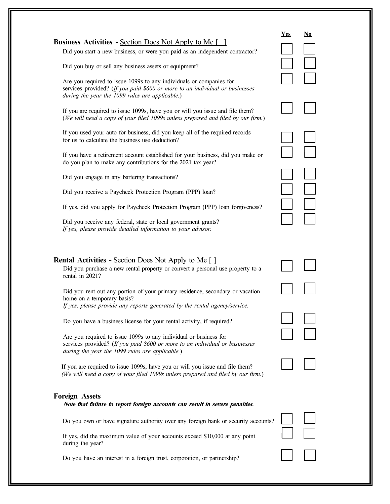|                                                                                                                                                                                                        | Yes | No |
|--------------------------------------------------------------------------------------------------------------------------------------------------------------------------------------------------------|-----|----|
| <b>Business Activities - Section Does Not Apply to Me</b> [129]<br>Did you start a new business, or were you paid as an independent contractor?                                                        |     |    |
|                                                                                                                                                                                                        |     |    |
| Did you buy or sell any business assets or equipment?                                                                                                                                                  |     |    |
| Are you required to issue 1099s to any individuals or companies for<br>services provided? (If you paid \$600 or more to an individual or businesses<br>during the year the 1099 rules are applicable.) |     |    |
| If you are required to issue 1099s, have you or will you issue and file them?<br>(We will need a copy of your filed 1099s unless prepared and filed by our firm.)                                      |     |    |
| If you used your auto for business, did you keep all of the required records<br>for us to calculate the business use deduction?                                                                        |     |    |
| If you have a retirement account established for your business, did you make or<br>do you plan to make any contributions for the 2021 tax year?                                                        |     |    |
| Did you engage in any bartering transactions?                                                                                                                                                          |     |    |
| Did you receive a Paycheck Protection Program (PPP) loan?                                                                                                                                              |     |    |
| If yes, did you apply for Paycheck Protection Program (PPP) loan forgiveness?                                                                                                                          |     |    |
| Did you receive any federal, state or local government grants?<br>If yes, please provide detailed information to your advisor.                                                                         |     |    |
| <b>Rental Activities - Section Does Not Apply to Me</b> []<br>Did you purchase a new rental property or convert a personal use property to a<br>rental in 2021?                                        |     |    |
| Did you rent out any portion of your primary residence, secondary or vacation<br>home on a temporary basis?<br>If yes, please provide any reports generated by the rental agency/service.              |     |    |
| Do you have a business license for your rental activity, if required?                                                                                                                                  |     |    |
| Are you required to issue 1099s to any individual or business for<br>services provided? (If you paid \$600 or more to an individual or businesses<br>during the year the 1099 rules are applicable.)   |     |    |
| If you are required to issue 1099s, have you or will you issue and file them?<br>(We will need a copy of your filed 1099s unless prepared and filed by our firm.)                                      |     |    |
| <b>Foreign Assets</b><br>Note that failure to report foreign accounts can result in severe penalties.                                                                                                  |     |    |
| Do you own or have signature authority over any foreign bank or security accounts?                                                                                                                     |     |    |
| If yes, did the maximum value of your accounts exceed \$10,000 at any point<br>during the year?                                                                                                        |     |    |
| Do you have an interest in a foreign trust, corporation, or partnership?                                                                                                                               |     |    |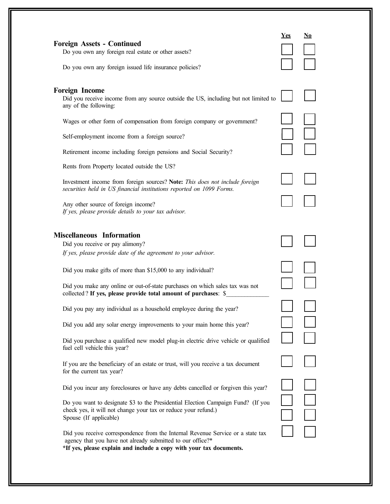|                                                                                                                                                                                                                      | <b>Yes</b> | <u>No</u> |  |
|----------------------------------------------------------------------------------------------------------------------------------------------------------------------------------------------------------------------|------------|-----------|--|
| <b>Foreign Assets - Continued</b>                                                                                                                                                                                    |            |           |  |
| Do you own any foreign real estate or other assets?                                                                                                                                                                  |            |           |  |
| Do you own any foreign issued life insurance policies?                                                                                                                                                               |            |           |  |
| <b>Foreign Income</b>                                                                                                                                                                                                |            |           |  |
| Did you receive income from any source outside the US, including but not limited to<br>any of the following:                                                                                                         |            |           |  |
| Wages or other form of compensation from foreign company or government?                                                                                                                                              |            |           |  |
| Self-employment income from a foreign source?                                                                                                                                                                        |            |           |  |
| Retirement income including foreign pensions and Social Security?                                                                                                                                                    |            |           |  |
| Rents from Property located outside the US?                                                                                                                                                                          |            |           |  |
| Investment income from foreign sources? Note: This does not include foreign<br>securities held in US financial institutions reported on 1099 Forms.                                                                  |            |           |  |
| Any other source of foreign income?<br>If yes, please provide details to your tax advisor.                                                                                                                           |            |           |  |
| <b>Miscellaneous</b> Information                                                                                                                                                                                     |            |           |  |
| Did you receive or pay alimony?                                                                                                                                                                                      |            |           |  |
| If yes, please provide date of the agreement to your advisor.                                                                                                                                                        |            |           |  |
| Did you make gifts of more than \$15,000 to any individual?                                                                                                                                                          |            |           |  |
| Did you make any online or out-of-state purchases on which sales tax was not<br>collected? If yes, please provide total amount of purchases: \$                                                                      |            |           |  |
| Did you pay any individual as a household employee during the year?                                                                                                                                                  |            |           |  |
| Did you add any solar energy improvements to your main home this year?                                                                                                                                               |            |           |  |
| Did you purchase a qualified new model plug-in electric drive vehicle or qualified<br>fuel cell vehicle this year?                                                                                                   |            |           |  |
| If you are the beneficiary of an estate or trust, will you receive a tax document<br>for the current tax year?                                                                                                       |            |           |  |
| Did you incur any foreclosures or have any debts cancelled or forgiven this year?                                                                                                                                    |            |           |  |
| Do you want to designate \$3 to the Presidential Election Campaign Fund? (If you<br>check yes, it will not change your tax or reduce your refund.)<br>Spouse (If applicable)                                         |            |           |  |
| Did you receive correspondence from the Internal Revenue Service or a state tax<br>agency that you have not already submitted to our office?*<br>*If yes, please explain and include a copy with your tax documents. |            |           |  |